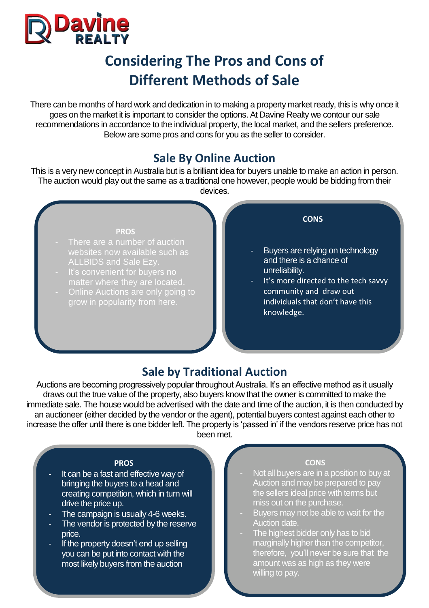

# **Considering The Pros and Cons of Different Methods of Sale**

There can be months of hard work and dedication in to making a property market ready, this is why once it goes on the market it is important to consider the options. At Davine Realty we contour our sale recommendations in accordance to the individual property, the local market, and the sellers preference. Below are some pros and cons for you as the seller to consider.

# **Sale By Online Auction**

This is a very new concept in Australia but is a brilliant idea for buyers unable to make an action in person. The auction would play out the same as a traditional one however, people would be bidding from their devices.

#### **PROS**

- There are a number of auction websites now available such as ALLBIDS and Sale Ezy.
- It's convenient for buyers no matter where they are located.
- Online Auctions are only going to grow in popularity from here.

### **CONS**

- Buyers are relying on technology and there is a chance of unreliability.
- It's more directed to the tech savvy community and draw out individuals that don't have this knowledge.

## **Sale by Traditional Auction**

Auctions are becoming progressively popular throughout Australia. It's an effective method as it usually draws out the true value of the property, also buyers know that the owner is committed to make the immediate sale. The house would be advertised with the date and time of the auction, it is then conducted by an auctioneer (either decided by the vendor or the agent), potential buyers contest against each other to increase the offer until there is one bidder left. The property is 'passed in' if the vendors reserve price has not been met.

### **PROS**

- It can be a fast and effective way of bringing the buyers to a head and creating competition, which in turn will drive the price up.
- The campaign is usually 4-6 weeks.
- The vendor is protected by the reserve price.
- If the property doesn't end up selling you can be put into contact with the most likely buyers from the auction

### **CONS**

- Not all buyers are in a position to buy at Auction and may be prepared to pay the sellers ideal price with terms but miss out on the purchase.
- Buyers may not be able to wait for the Auction date.
- The highest bidder only has to bid marginally higher than the competitor, therefore, you'll never be sure that the amount was as high as they were willing to pay.